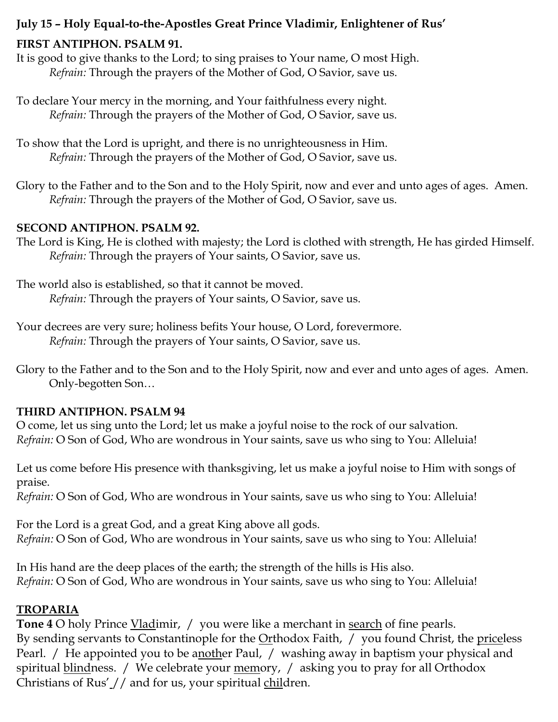## **July 15 – Holy Equal-to-the-Apostles Great Prince Vladimir, Enlightener of Rus'**

#### **FIRST ANTIPHON. PSALM 91.**

It is good to give thanks to the Lord; to sing praises to Your name, O most High. *Refrain:* Through the prayers of the Mother of God, O Savior, save us.

- To declare Your mercy in the morning, and Your faithfulness every night. *Refrain:* Through the prayers of the Mother of God, O Savior, save us.
- To show that the Lord is upright, and there is no unrighteousness in Him. *Refrain:* Through the prayers of the Mother of God, O Savior, save us.
- Glory to the Father and to the Son and to the Holy Spirit, now and ever and unto ages of ages. Amen. *Refrain:* Through the prayers of the Mother of God, O Savior, save us.

#### **SECOND ANTIPHON. PSALM 92.**

The Lord is King, He is clothed with majesty; the Lord is clothed with strength, He has girded Himself. *Refrain:* Through the prayers of Your saints, O Savior, save us.

The world also is established, so that it cannot be moved. *Refrain:* Through the prayers of Your saints, O Savior, save us.

Your decrees are very sure; holiness befits Your house, O Lord, forevermore. *Refrain:* Through the prayers of Your saints, O Savior, save us.

Glory to the Father and to the Son and to the Holy Spirit, now and ever and unto ages of ages. Amen. Only-begotten Son…

#### **THIRD ANTIPHON. PSALM 94**

O come, let us sing unto the Lord; let us make a joyful noise to the rock of our salvation. *Refrain:* O Son of God, Who are wondrous in Your saints, save us who sing to You: Alleluia!

Let us come before His presence with thanksgiving, let us make a joyful noise to Him with songs of praise.

*Refrain:* O Son of God, Who are wondrous in Your saints, save us who sing to You: Alleluia!

For the Lord is a great God, and a great King above all gods. *Refrain:* O Son of God, Who are wondrous in Your saints, save us who sing to You: Alleluia!

In His hand are the deep places of the earth; the strength of the hills is His also. *Refrain:* O Son of God, Who are wondrous in Your saints, save us who sing to You: Alleluia!

## **TROPARIA**

**Tone 4** O holy Prince Vladimir, / you were like a merchant in search of fine pearls. By sending servants to Constantinople for the  $Or$ thodox Faith,  $/$  you found Christ, the priceless Pearl. / He appointed you to be another Paul, / washing away in baptism your physical and spiritual blindness. / We celebrate your memory, / asking you to pray for all Orthodox Christians of Rus' // and for us, your spiritual children.